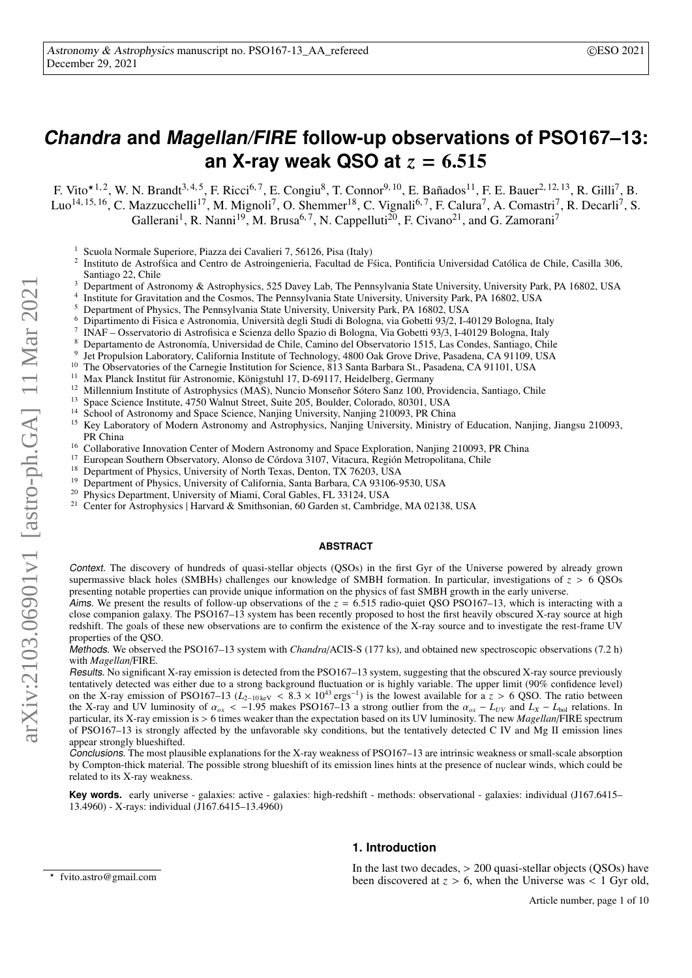# **Chandra and Magellan/FIRE follow-up observations of PSO167–13: an X-ray weak QSO at** *<sup>z</sup>* <sup>=</sup> <sup>6</sup>.<sup>515</sup>

F. Vito $\star$ <sup>1, 2</sup>, W. N. Brandt<sup>3, 4, 5</sup>, F. Ricci<sup>6, 7</sup>, E. Congiu<sup>8</sup>, T. Connor<sup>9, 10</sup>, E. Bañados<sup>11</sup>, F. E. Bauer<sup>2, 12, 13</sup>, R. Gilli<sup>7</sup>, B. Luo<sup>14, 15, 16</sup>, C. Mazzucchelli<sup>17</sup>, M. Mignoli<sup>7</sup>, O. Shemmer<sup>18</sup>, C. Vignali<sup>6, 7</sup>, F. Calura<sup>7</sup>, A. Comastri<sup>7</sup>, R. Decarli<sup>7</sup>, S. Gallerani<sup>1</sup>, R. Nanni<sup>19</sup>, M. Brusa<sup>6, 7</sup>, N. Cappelluti<sup>20</sup>, F. Civano<sup>21</sup>, and G. Zamorani<sup>7</sup>

- <sup>1</sup> Scuola Normale Superiore, Piazza dei Cavalieri 7, 56126, Pisa (Italy)
- 2 Instituto de Astrofsica and Centro de Astroingenieria, Facultad de Fsica, Pontificia Universidad Católica de Chile, Casilla 306, Santiago 22, Chile
- <sup>3</sup> Department of Astronomy & Astrophysics, 525 Davey Lab, The Pennsylvania State University, University Park, PA 16802, USA
- 4 Institute for Gravitation and the Cosmos, The Pennsylvania State University, University Park, PA 16802, USA
- <sup>5</sup> Department of Physics, The Pennsylvania State University, University Park, PA 16802, USA  $^{6}$  Dinestimento di Fisice e Astronomia University decli Studi di Polegna, via Gebetti 03/2, LA
- <sup>6</sup> Dipartimento di Fisica e Astronomia, Università degli Studi di Bologna, via Gobetti 93/2, I-40129 Bologna, Italy
- 7 INAF – Osservatorio di Astrofisica e Scienza dello Spazio di Bologna, Via Gobetti 93/3, I-40129 Bologna, Italy
- <sup>8</sup> Departamento de Astronomía, Universidad de Chile, Camino del Observatorio 1515, Las Condes, Santiago, Chile
- <sub>9</sub> Jet Propulsion Laboratory, California Institute of Technology, 4800 Oak Grove Drive, Pasadena, CA 91109, USA
- <sup>10</sup> The Observatories of the Carnegie Institution for Science, 813 Santa Barbara St., Pasadena, CA 91101, USA
- <sup>11</sup> Max Planck Institut für Astronomie, Königstuhl 17, D-69117, Heidelberg, Germany<br><sup>12</sup> Millannium Institute of Astronomies (MAS), Nuncio Monseñer Sétere Sanz 100, D-
- <sup>12</sup> Millennium Institute of Astrophysics (MAS), Nuncio Monseñor Sótero Sanz 100, Providencia, Santiago, Chile<br><sup>13</sup> Sance Science Institute, 4750 Webut Stuart Suite 205, Baulder Gelenade, 80201, USA
- <sup>13</sup> Space Science Institute,  $4750$  Walnut Street, Suite 205, Boulder, Colorado, 80301, USA<br><sup>14</sup> School of Astronomy and Space Science, Noviting University, Noviting 210002, PB Chin
- <sup>14</sup> School of Astronomy and Space Science, Nanjing University, Nanjing 210093, PR China<br><sup>15</sup> Kay Laboratory of Modern Astronomy and Astronomy is a University Ministry of
- <sup>15</sup> Key Laboratory of Modern Astronomy and Astrophysics, Nanjing University, Ministry of Education, Nanjing, Jiangsu 210093, PR China
- <sup>16</sup> Collaborative Innovation Center of Modern Astronomy and Space Exploration, Nanjing 210093, PR China<br><sup>17</sup> Eugeneen Southam Observatory, Algres de Cárdove 2107, Vitaure, Bazián Matropolitaes, Chile
- <sup>17</sup> European Southern Observatory, Alonso de Córdova 3107, Vitacura, Región Metropolitana, Chile<br><sup>18</sup> Department of Physics, University of North Texas, Depten, T.Y. 76203, U.S.A.
- <sup>18</sup> Department of Physics, University of North Texas, Denton, TX 76203, USA
- <sup>19</sup> Department of Physics, University of California, Santa Barbara, CA 93106-9530, USA<br><sup>20</sup> Physics Department University of Mismi, Corel Gables, FL 23124, USA
- <sup>20</sup> Physics Department, University of Miami, Coral Gables, FL 33124, USA<br><sup>21</sup> Contagger Astrophysics | Hervard & Smithsonian 60 Garden et Cambrid
- <sup>21</sup> Center for Astrophysics | Harvard & Smithsonian, 60 Garden st, Cambridge, MA 02138, USA

# **ABSTRACT**

Context. The discovery of hundreds of quasi-stellar objects (QSOs) in the first Gyr of the Universe powered by already grown supermassive black holes (SMBHs) challenges our knowledge of SMBH formation. In particular, investigations of *<sup>z</sup>* > 6 QSOs presenting notable properties can provide unique information on the physics of fast SMBH growth in the early universe.

Aims. We present the results of follow-up observations of the  $z = 6.515$  radio-quiet QSO PSO167–13, which is interacting with a close companion galaxy. The PSO167–13 system has been recently proposed to host the first heavily obscured X-ray source at high redshift. The goals of these new observations are to confirm the existence of the X-ray source and to investigate the rest-frame UV properties of the QSO.

Methods. We observed the PSO167–13 system with *Chandra*/ACIS-S (177 ks), and obtained new spectroscopic observations (7.2 h) with *Magellan*/FIRE.

Results. No significant X-ray emission is detected from the PSO167–13 system, suggesting that the obscured X-ray source previously tentatively detected was either due to a strong background fluctuation or is highly variable. The upper limit (90% confidence level) on the X-ray emission of PSO167–13 ( $L_{2-10 \text{ keV}} < 8.3 \times 10^{43} \text{ ergs}^{-1}$ ) is the lowest available for a z > 6 QSO. The ratio between ) is the lowest available for a  $z > 6$  QSO. The ratio between strong outlier from the  $\alpha = L_{xy}$  and  $L_x = L_{xx}$  relations. In the X-ray and UV luminosity of  $\alpha_{ox} < -1.95$  makes PSO167–13 a strong outlier from the  $\alpha_{ox} - L_{UV}$  and  $L_X - L_{bol}$  relations. In<br>particular its X-ray emission is > 6 times weaker than the expectation based on its UV lumino particular, its X-ray emission is > 6 times weaker than the expectation based on its UV luminosity. The new *Magellan*/FIRE spectrum of PSO167–13 is strongly affected by the unfavorable sky conditions, but the tentatively detected C IV and Mg II emission lines appear strongly blueshifted.

Conclusions. The most plausible explanations for the X-ray weakness of PSO167–13 are intrinsic weakness or small-scale absorption by Compton-thick material. The possible strong blueshift of its emission lines hints at the presence of nuclear winds, which could be related to its X-ray weakness.

**Key words.** early universe - galaxies: active - galaxies: high-redshift - methods: observational - galaxies: individual (J167.6415– 13.4960) - X-rays: individual (J167.6415–13.4960)

# In the last two decades, > 200 quasi-stellar objects (QSOs) have been discovered at  $z > 6$ , when the Universe was  $\lt 1$  Gyr old,

<sup>?</sup> fvito.astro@gmail.com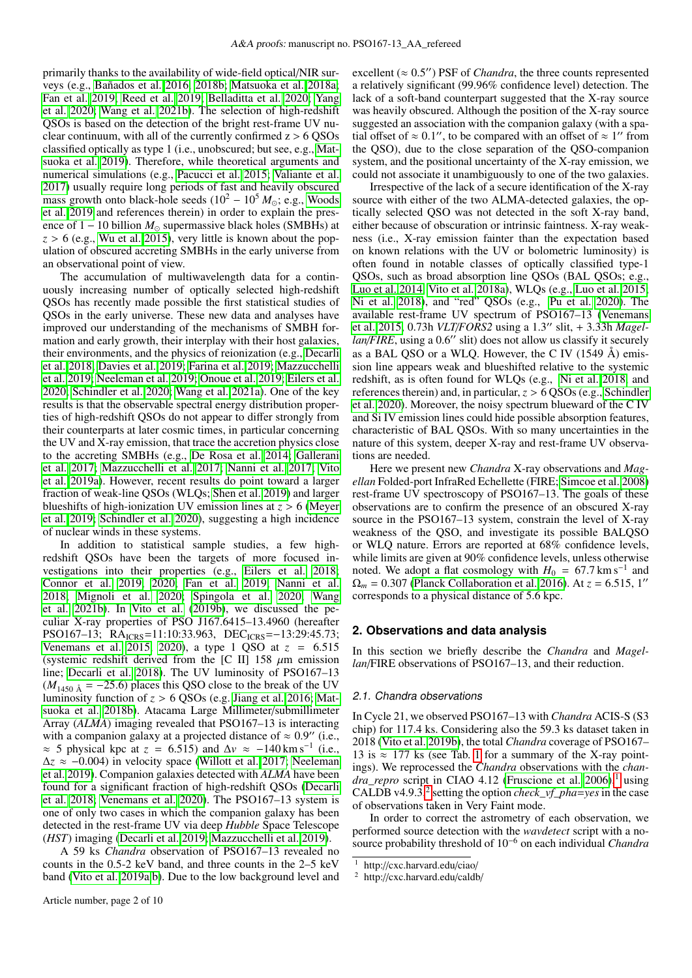primarily thanks to the availability of wide-field optical/NIR surveys (e.g., [Bañados et al. 2016,](#page-9-0) [2018b;](#page-9-1) [Matsuoka et al. 2018a;](#page-9-2) [Fan et al. 2019;](#page-9-3) [Reed et al. 2019;](#page-9-4) [Belladitta et al. 2020;](#page-9-5) [Yang](#page-9-6) [et al. 2020;](#page-9-6) [Wang et al. 2021b\)](#page-9-7). The selection of high-redshift QSOs is based on the detection of the bright rest-frame UV nuclear continuum, with all of the currently confirmed  $z > 6$  OSOs classified optically as type 1 (i.e., unobscured; but see, e.g., [Mat](#page-9-8)[suoka et al. 2019\)](#page-9-8). Therefore, while theoretical arguments and numerical simulations (e.g., [Pacucci et al. 2015;](#page-9-9) [Valiante et al.](#page-9-10) [2017\)](#page-9-10) usually require long periods of fast and heavily obscured mass growth onto black-hole seeds  $(10^2 – 10^5 M_{\odot}; e.g.,$  [Woods](#page-9-11) [et al. 2019](#page-9-11) and references therein) in order to explain the presence of  $1 - 10$  billion  $M_{\odot}$  supermassive black holes (SMBHs) at  $z > 6$  (e.g., [Wu et al. 2015\)](#page-9-12), very little is known about the population of obscured accreting SMBHs in the early universe from an observational point of view.

The accumulation of multiwavelength data for a continuously increasing number of optically selected high-redshift QSOs has recently made possible the first statistical studies of QSOs in the early universe. These new data and analyses have improved our understanding of the mechanisms of SMBH formation and early growth, their interplay with their host galaxies, their environments, and the physics of reionization (e.g., [Decarli](#page-9-13) [et al. 2018;](#page-9-13) [Davies et al. 2019;](#page-9-14) [Farina et al. 2019;](#page-9-15) [Mazzucchelli](#page-9-16) [et al. 2019;](#page-9-16) [Neeleman et al. 2019;](#page-9-17) [Onoue et al. 2019;](#page-9-18) [Eilers et al.](#page-9-19) [2020;](#page-9-19) [Schindler et al. 2020;](#page-9-20) [Wang et al. 2021a\)](#page-9-21). One of the key results is that the observable spectral energy distribution properties of high-redshift QSOs do not appear to differ strongly from their counterparts at later cosmic times, in particular concerning the UV and X-ray emission, that trace the accretion physics close to the accreting SMBHs (e.g., [De Rosa et al. 2014;](#page-9-22) [Gallerani](#page-9-23) [et al. 2017;](#page-9-23) [Mazzucchelli et al. 2017;](#page-9-24) [Nanni et al. 2017;](#page-9-25) [Vito](#page-9-26) [et al. 2019a\)](#page-9-26). However, recent results do point toward a larger fraction of weak-line QSOs (WLQs; [Shen et al. 2019\)](#page-9-27) and larger blueshifts of high-ionization UV emission lines at *<sup>z</sup>* > 6 [\(Meyer](#page-9-28) [et al. 2019;](#page-9-28) [Schindler et al. 2020\)](#page-9-20), suggesting a high incidence of nuclear winds in these systems.

In addition to statistical sample studies, a few highredshift QSOs have been the targets of more focused investigations into their properties (e.g., [Eilers et al. 2018;](#page-9-29) [Connor et al. 2019,](#page-9-30) [2020;](#page-9-31) [Fan et al. 2019;](#page-9-3) [Nanni et al.](#page-9-32) [2018;](#page-9-32) [Mignoli et al. 2020;](#page-9-33) [Spingola et al. 2020;](#page-9-34) [Wang](#page-9-7) [et al. 2021b\)](#page-9-7). In [Vito et al.](#page-9-35) [\(2019b\)](#page-9-35), we discussed the peculiar X-ray properties of PSO J167.6415–13.4960 (hereafter PSO167–13; RA<sub>ICRS</sub>=11:10:33.963, DEC<sub>ICRS</sub>=−13:29:45.73; [Venemans et al. 2015,](#page-9-36) [2020\)](#page-9-37), a type 1 QSO at *<sup>z</sup>* <sup>=</sup> <sup>6</sup>.<sup>515</sup> (systemic redshift derived from the [C II] 158  $\mu$ m emission line; [Decarli et al. 2018\)](#page-9-13). The UV luminosity of PSO167–13  $(M_{1450 \text{ Å}} = -25.6)$  places this QSO close to the break of the UV luminosity function of *<sup>z</sup>* > 6 QSOs (e.g. [Jiang et al. 2016;](#page-9-38) [Mat](#page-9-39)[suoka et al. 2018b\)](#page-9-39). Atacama Large Millimeter/submillimeter Array (*ALMA*) imaging revealed that PSO167–13 is interacting with a companion galaxy at a projected distance of  $\approx 0.9$ " (i.e.,  $\approx 5$  physical kpc at  $z = 6.515$ ) and  $\Delta y \approx -140 \text{ km s}^{-1}$  (i.e. ≈ 5 physical kpc at *z* = 6.515) and  $\Delta v \approx -140 \text{ km s}^{-1}$  (i.e.,  $\Delta z \approx -0.004$ ) in velocity space (Willott et al. 2017: Neeleman <sup>∆</sup>*<sup>z</sup>* ≈ −0.004) in velocity space [\(Willott et al. 2017;](#page-9-40) [Neeleman](#page-9-17) [et al. 2019\)](#page-9-17). Companion galaxies detected with *ALMA* have been found for a significant fraction of high-redshift QSOs [\(Decarli](#page-9-13) [et al. 2018;](#page-9-13) [Venemans et al. 2020\)](#page-9-37). The PSO167–13 system is one of only two cases in which the companion galaxy has been detected in the rest-frame UV via deep *Hubble* Space Telescope (*HST*) imaging [\(Decarli et al. 2019;](#page-9-41) [Mazzucchelli et al. 2019\)](#page-9-16).

A 59 ks *Chandra* observation of PSO167–13 revealed no counts in the 0.5-2 keV band, and three counts in the 2–5 keV band [\(Vito et al. 2019a](#page-9-26)[,b\)](#page-9-35). Due to the low background level and

excellent ( $\approx 0.5''$ ) PSF of *Chandra*, the three counts represented<br>a relatively significant (99.96% confidence level) detection. The a relatively significant (99.96% confidence level) detection. The lack of a soft-band counterpart suggested that the X-ray source was heavily obscured. Although the position of the X-ray source suggested an association with the companion galaxy (with a spatial offset of  $\approx 0.1$ ", to be compared with an offset of  $\approx 1$ " from the OSO) due to the close separation of the OSO-companion the QSO), due to the close separation of the QSO-companion system, and the positional uncertainty of the X-ray emission, we could not associate it unambiguously to one of the two galaxies.

Irrespective of the lack of a secure identification of the X-ray source with either of the two ALMA-detected galaxies, the optically selected QSO was not detected in the soft X-ray band, either because of obscuration or intrinsic faintness. X-ray weakness (i.e., X-ray emission fainter than the expectation based on known relations with the UV or bolometric luminosity) is often found in notable classes of optically classified type-1 QSOs, such as broad absorption line QSOs (BAL QSOs; e.g., [Luo et al. 2014,](#page-9-42) [Vito et al. 2018a\)](#page-9-43), WLQs (e.g., [Luo et al. 2015;](#page-9-44) [Ni et al. 2018\)](#page-9-45), and "red" QSOs (e.g., [Pu et al. 2020\)](#page-9-46). The available rest-frame UV spectrum of PSO167–13 [\(Venemans](#page-9-36) [et al. 2015,](#page-9-36) 0.73h *VLT/FORS2* using a 1.3" slit, + 3.33h *Magel-*<br>*lan/FIRE* using a 0.6" slit) does not allow us classify it securely  $lan/FIRSTE$ , using a 0.6" slit) does not allow us classify it securely<br>as a BAL OSO or a WLO. However, the C.IV (1549  $\AA$ ) emisas a BAL QSO or a WLO. However, the C IV  $(1549 \text{ Å})$  emission line appears weak and blueshifted relative to the systemic redshift, as is often found for WLQs (e.g., [Ni et al. 2018,](#page-9-45) and references therein) and, in particular,*<sup>z</sup>* > 6 QSOs (e.g., [Schindler](#page-9-20) [et al. 2020\)](#page-9-20). Moreover, the noisy spectrum blueward of the C IV and Si IV emission lines could hide possible absorption features, characteristic of BAL QSOs. With so many uncertainties in the nature of this system, deeper X-ray and rest-frame UV observations are needed.

Here we present new *Chandra* X-ray observations and *Magellan* Folded-port InfraRed Echellette (FIRE; [Simcoe et al. 2008\)](#page-9-47) rest-frame UV spectroscopy of PSO167–13. The goals of these observations are to confirm the presence of an obscured X-ray source in the PSO167–13 system, constrain the level of X-ray weakness of the QSO, and investigate its possible BALQSO or WLQ nature. Errors are reported at 68% confidence levels, while limits are given at 90% confidence levels, unless otherwise noted. We adopt a flat cosmology with  $H_0 = 67.7 \text{ km s}^{-1}$  and  $Q_m = 0.307$  (Planck Collaboration et al. 2016). At  $z = 6.515$  1''  $\Omega_m = 0.307$  [\(Planck Collaboration et al. 2016\)](#page-9-48). At  $z = 6.515$ , 1'' corresponds to a physical distance of 5.6 kpc.

# **2. Observations and data analysis**

In this section we briefly describe the *Chandra* and *Magellan*/FIRE observations of PSO167–13, and their reduction.

# 2.1. Chandra observations

In Cycle 21, we observed PSO167–13 with *Chandra* ACIS-S (S3 chip) for 117.4 ks. Considering also the 59.3 ks dataset taken in 2018 [\(Vito et al. 2019b\)](#page-9-35), the total *Chandra* coverage of PSO167– 13 is  $\approx$  [1](#page-2-0)77 ks (see Tab. 1 for a summary of the X-ray pointings). We reprocessed the *Chandra* observations with the *chandra\_repro* script in CIAO 4.12 [\(Fruscione et al. 2006\)](#page-9-49),<sup>[1](#page-1-0)</sup> using CALDB v4.9.3,<sup>[2](#page-1-1)</sup> setting the option *check\_vf\_pha*=*yes* in the case of observations taken in Very Faint mode.

In order to correct the astrometry of each observation, we performed source detection with the *wavdetect* script with a nosource probability threshold of 10<sup>−</sup><sup>6</sup> on each individual *Chandra*

<span id="page-1-0"></span><sup>1</sup> http://cxc.harvard.edu/ciao/

<span id="page-1-1"></span><sup>2</sup> http://cxc.harvard.edu/caldb/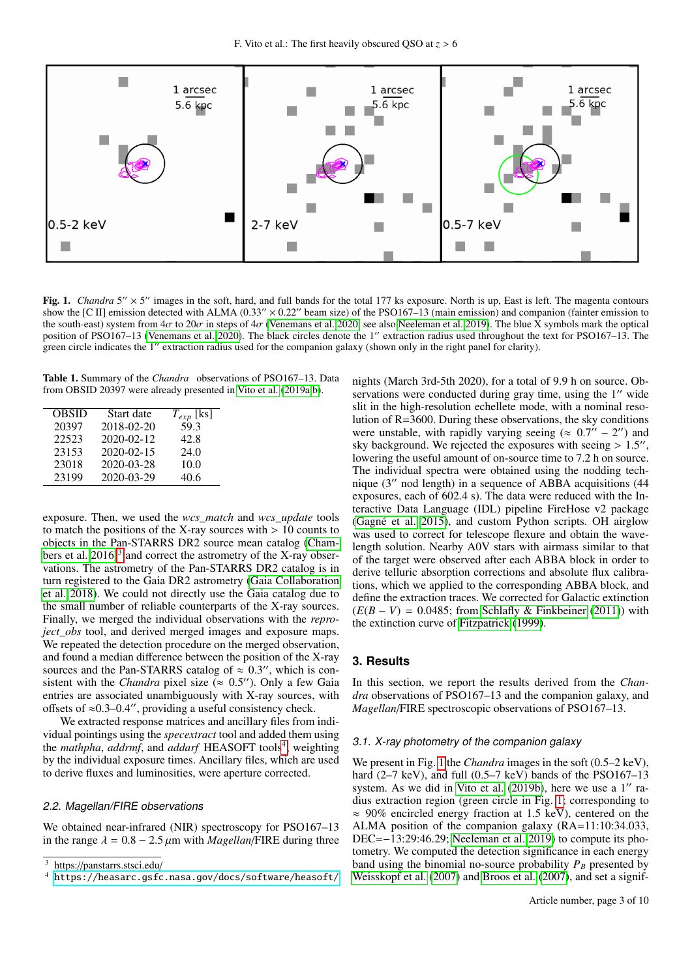

<span id="page-2-3"></span>Fig. 1. *Chandra* 5" × 5" images in the soft, hard, and full bands for the total 177 ks exposure. North is up, East is left. The magenta contours show the [C II] emission detected with ALMA (0.33"  $\times$  0.22" beam size) of the PSO167–13 (main emission) and companion (fainter emission to the south-east) system from  $4\sigma$  to  $20\sigma$  in steps of  $4\sigma$  [\(Venemans et al. 2020,](#page-9-37) see also [Neeleman et al. 2019\)](#page-9-17). The blue X symbols mark the optical position of PSO167–13 [\(Venemans et al. 2020\)](#page-9-37). The black circles denote the 1" extraction radius used throughout the text for PSO167–13. The green circle indicates the 1" extraction radius used for the companion galaxy (shown only in the right panel for clarity).

<span id="page-2-0"></span>Table 1. Summary of the *Chandra* observations of PSO167–13. Data from OBSID 20397 were already presented in [Vito et al.](#page-9-26) [\(2019a,](#page-9-26)[b\)](#page-9-35).

| <b>OBSID</b> | Start date | $T_{exp}$ [ks] |
|--------------|------------|----------------|
| 20397        | 2018-02-20 | 59.3           |
| 22523        | 2020-02-12 | 42.8           |
| 23153        | 2020-02-15 | 24.0           |
| 23018        | 2020-03-28 | 10.0           |
| 23199        | 2020-03-29 | 40.6           |

exposure. Then, we used the *wcs\_match* and *wcs\_update* tools to match the positions of the X-ray sources with  $> 10$  counts to objects in the Pan-STARRS DR2 source mean catalog [\(Cham](#page-9-50)bers et al.  $2016$ <sup>[3](#page-2-1)</sup> and correct the astrometry of the X-ray observations. The astrometry of the Pan-STARRS DR2 catalog is in turn registered to the Gaia DR2 astrometry [\(Gaia Collaboration](#page-9-51) [et al. 2018\)](#page-9-51). We could not directly use the Gaia catalog due to the small number of reliable counterparts of the X-ray sources. Finally, we merged the individual observations with the *reproject\_obs* tool, and derived merged images and exposure maps. We repeated the detection procedure on the merged observation, and found a median difference between the position of the X-ray sources and the Pan-STARRS catalog of  $\approx 0.3$ ", which is consistent with the *Chandra* pixel size ( $\approx 0.5$ "). Only a few Gaja sistent with the *Chandra* pixel size ( $\approx 0.5$ "). Only a few Gaia<br>entries are associated unambiguously with X-ray sources with entries are associated unambiguously with X-ray sources, with offsets of  $\approx 0.3-0.4$ ", providing a useful consistency check.

We extracted response matrices and ancillary files from individual pointings using the *specextract* tool and added them using the *mathpha*, *addrmf*, and *addarf* HEASOFT tools<sup>[4](#page-2-2)</sup>, weighting by the individual exposure times. Ancillary files, which are used to derive fluxes and luminosities, were aperture corrected.

# 2.2. Magellan/FIRE observations

We obtained near-infrared (NIR) spectroscopy for PSO167–13 in the range  $\lambda = 0.8 - 2.5 \mu m$  with *Magellan*/FIRE during three

nights (March 3rd-5th 2020), for a total of 9.9 h on source. Observations were conducted during gray time, using the  $1<sup>′</sup>$  wide slit in the high-resolution echellete mode, with a nominal resolution of R=3600. During these observations, the sky conditions were unstable, with rapidly varying seeing ( $\approx 0.7'' - 2''$ ) and sky background. We rejected the exposures with seeing > 1.5" sky background. We rejected the exposures with seeing  $> 1.5$ ", lowering the useful amount of on-source time to 7.2 h on source lowering the useful amount of on-source time to 7.2 h on source. The individual spectra were obtained using the nodding technique  $(3'')$  nod length) in a sequence of ABBA acquisitions  $(44)$ exposures, each of 602.4 s). The data were reduced with the Interactive Data Language (IDL) pipeline FireHose v2 package [\(Gagné et al. 2015\)](#page-9-52), and custom Python scripts. OH airglow was used to correct for telescope flexure and obtain the wavelength solution. Nearby A0V stars with airmass similar to that of the target were observed after each ABBA block in order to derive telluric absorption corrections and absolute flux calibrations, which we applied to the corresponding ABBA block, and define the extraction traces. We corrected for Galactic extinction (*E*(*<sup>B</sup>* <sup>−</sup> *<sup>V</sup>*) <sup>=</sup> <sup>0</sup>.0485; from [Schlafly & Finkbeiner](#page-9-53) [\(2011\)](#page-9-53)) with the extinction curve of [Fitzpatrick](#page-9-54) [\(1999\)](#page-9-54).

# **3. Results**

In this section, we report the results derived from the *Chandra* observations of PSO167–13 and the companion galaxy, and *Magellan*/FIRE spectroscopic observations of PSO167–13.

# <span id="page-2-4"></span>3.1. X-ray photometry of the companion galaxy

We present in Fig. [1](#page-2-3) the *Chandra* images in the soft  $(0.5-2 \text{ keV})$ , hard  $(2-7 \text{ keV})$ , and full  $(0.5-7 \text{ keV})$  bands of the PSO167-13 system. As we did in [Vito et al.](#page-9-35)  $(2019b)$ , here we use a  $1''$  radius extraction region (green circle in Fig. [1;](#page-2-3) corresponding to  $\approx$  90% encircled energy fraction at 1.5 keV), centered on the ALMA position of the companion galaxy (RA=11:10:34.033, DEC=−13:29:46.29; [Neeleman et al. 2019\)](#page-9-17) to compute its photometry. We computed the detection significance in each energy band using the binomial no-source probability  $P_B$  presented by [Weisskopf et al.](#page-9-55) [\(2007\)](#page-9-55) and [Broos et al.](#page-9-56) [\(2007\)](#page-9-56), and set a signif-

<span id="page-2-1"></span><sup>3</sup> https://panstarrs.stsci.edu/

<span id="page-2-2"></span><sup>4</sup> <https://heasarc.gsfc.nasa.gov/docs/software/heasoft/>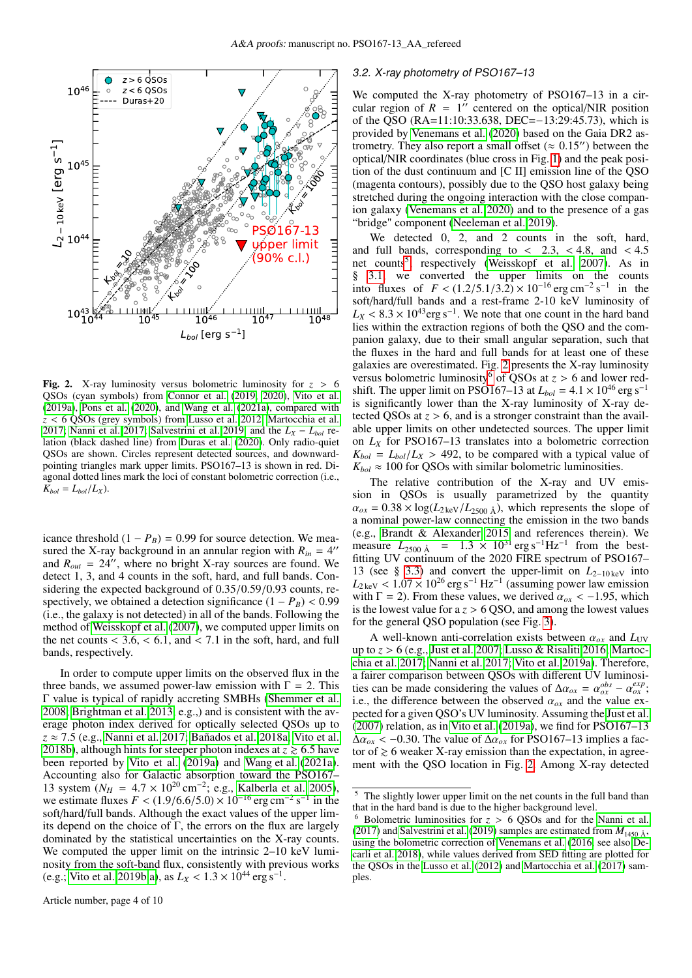

<span id="page-3-1"></span>**Fig. 2.** X-ray luminosity versus bolometric luminosity for  $z > 6$ QSOs (cyan symbols) from [Connor et al.](#page-9-30) [\(2019,](#page-9-30) [2020\)](#page-9-31), [Vito et al.](#page-9-26) [\(2019a\)](#page-9-26), [Pons et al.](#page-9-57) [\(2020\)](#page-9-57), and [Wang et al.](#page-9-21) [\(2021a\)](#page-9-21), compared with *<sup>z</sup>* < 6 QSOs (grey symbols) from [Lusso et al. 2012;](#page-9-58) [Martocchia et al.](#page-9-59) [2017;](#page-9-59) [Nanni et al. 2017;](#page-9-25) [Salvestrini et al. 2019,](#page-9-60) and the  $L_X - L_{bol}$  relation (black dashed line) from [Duras et al.](#page-9-61) [\(2020\)](#page-9-61). Only radio-quiet QSOs are shown. Circles represent detected sources, and downwardpointing triangles mark upper limits. PSO167–13 is shown in red. Diagonal dotted lines mark the loci of constant bolometric correction (i.e.,  $K_{bol} = L_{bol}/L_X$ ).

icance threshold  $(1 - P_B) = 0.99$  for source detection. We measured the X-ray background in an annular region with  $R_{in} = 4$ " and  $R_{out} = 24$ <sup>"</sup>, where no bright X-ray sources are found. We detect 1, 3, and 4 counts in the soft, hard, and full bands. Considering the expected background of 0.35/0.59/0.93 counts, respectively, we obtained a detection significance  $(1 - P_B) < 0.99$ (i.e., the galaxy is not detected) in all of the bands. Following the method of [Weisskopf et al.](#page-9-55) [\(2007\)](#page-9-55), we computed upper limits on the net counts  $<$  3.6,  $<$  6.1, and  $<$  7.1 in the soft, hard, and full bands, respectively.

In order to compute upper limits on the observed flux in the three bands, we assumed power-law emission with  $\Gamma = 2$ . This Γ value is typical of rapidly accreting SMBHs [\(Shemmer et al.](#page-9-62) [2008;](#page-9-62) [Brightman et al. 2013,](#page-9-63) e.g.,) and is consistent with the average photon index derived for optically selected QSOs up to *<sup>z</sup>* <sup>≈</sup> <sup>7</sup>.5 (e.g., [Nanni et al. 2017;](#page-9-25) [Bañados et al. 2018a;](#page-9-64) [Vito et al.](#page-9-65) [2018b\)](#page-9-65), although hints for steeper photon indexes at  $z \geq 6.5$  have been reported by [Vito et al.](#page-9-26) [\(2019a\)](#page-9-26) and [Wang et al.](#page-9-21) [\(2021a\)](#page-9-21). Accounting also for Galactic absorption toward the PSO167– 13 system ( $N_H = 4.7 \times 10^{20}$  cm<sup>-2</sup>; e.g., [Kalberla et al. 2005\)](#page-9-66),<br>we estimate fluxes  $F < (1.9/6.6/5.0) \times 10^{-16}$  erg cm<sup>-2</sup> s<sup>-1</sup> in the we estimate fluxes  $F < (1.9/6.6/5.0) \times 10^{-16}$  erg cm<sup>-2</sup> s<sup>-1</sup> in the soft/hard/full bands. Although the exact values of the upper limsoft/hard/full bands. Although the exact values of the upper limits depend on the choice of  $\Gamma$ , the errors on the flux are largely dominated by the statistical uncertainties on the X-ray counts. We computed the upper limit on the intrinsic 2–10 keV luminosity from the soft-band flux, consistently with previous works (e.g.; [Vito et al. 2019b,](#page-9-35)[a\)](#page-9-26), as  $L_X < 1.3 \times 10^{44} \text{ erg s}^{-1}$ .

#### <span id="page-3-3"></span>3.2. X-ray photometry of PSO167–13

We computed the X-ray photometry of PSO167–13 in a circular region of  $R = 1$ <sup>"</sup> centered on the optical/NIR position of the QSO (RA=11:10:33.638, DEC=−13:29:45.73), which is provided by [Venemans et al.](#page-9-37) [\(2020\)](#page-9-37) based on the Gaia DR2 astrometry. They also report a small offset ( $\approx 0.15$ ") between the optical/NIR coordinates (blue cross in Fig. [1\)](#page-2-3) and the peak position of the dust continuum and [C II] emission line of the QSO (magenta contours), possibly due to the QSO host galaxy being stretched during the ongoing interaction with the close companion galaxy [\(Venemans et al. 2020\)](#page-9-37) and to the presence of a gas "bridge" component [\(Neeleman et al. 2019\)](#page-9-17).

We detected 0, 2, and 2 counts in the soft, hard, and full bands, corresponding to  $\langle 2.3, \langle 4.8, \rangle$  and  $\langle 4.5, \rangle$ net counts<sup>[5](#page-3-0)</sup>, respectively [\(Weisskopf et al. 2007\)](#page-9-55). As in § [3.1,](#page-2-4) we converted the upper limits on the counts into fluxes of  $F < (1.2/5.1/3.2) \times 10^{-16}$  erg cm<sup>-2</sup> s<sup>-1</sup> in the soft/hard/full bands and a rest-frame 2-10 keV luminosity of soft/hard/full bands and a rest-frame 2-10 keV luminosity of  $L_X < 8.3 \times 10^{43}$  erg s<sup>-1</sup>. We note that one count in the hard band<br>lies within the extraction regions of both the OSO and the comlies within the extraction regions of both the QSO and the companion galaxy, due to their small angular separation, such that the fluxes in the hard and full bands for at least one of these galaxies are overestimated. Fig. [2](#page-3-1) presents the X-ray luminosity versus bolometric luminosity<sup>[6](#page-3-2)</sup> of QSOs at  $z > 6$  and lower redshift. The upper limit on PSO167–13 at  $L_{bol} = 4.1 \times 10^{46}$  erg s<sup>-1</sup> is significantly lower than the X-ray luminosity of X-ray detected QSOs at  $z > 6$ , and is a stronger constraint than the available upper limits on other undetected sources. The upper limit on *L<sup>X</sup>* for PSO167–13 translates into a bolometric correction  $K_{bol} = L_{bol}/L_X > 492$ , to be compared with a typical value of  $K_{bol} \approx 100$  for QSOs with similar bolometric luminosities.

The relative contribution of the X-ray and UV emission in QSOs is usually parametrized by the quantity  $\alpha_{ox} = 0.38 \times \log(L_{2 \text{ keV}}/L_{2500 \text{ \AA}})$ , which represents the slope of a nominal power-law connecting the emission in the two bands (e.g., [Brandt & Alexander 2015](#page-9-67) and references therein). We measure  $L_{2500 \text{ Å}} = 1.3 \times 10^{31} \text{ erg s}^{-1} \text{Hz}^{-1}$  from the best-<br>fitting IIV continuum of the 2020 FIRE spectrum of PSO167– fitting UV continuum of the 2020 FIRE spectrum of PSO167– 13 (see § [3.3\)](#page-4-0) and convert the upper-limit on *L*2−10 keV into  $L_{2 \text{ keV}} < 1.07 \times 10^{26} \text{ erg s}^{-1} \text{ Hz}^{-1}$  (assuming power law emission with  $\Gamma = 2$ ) From these values we derived  $\alpha_{\text{me}} < -1.95$  which with  $\Gamma = 2$ ). From these values, we derived  $\alpha_{ox} < -1.95$ , which is the lowest value for  $a \bar{z} > 6$  QSO, and among the lowest values for the general QSO population (see Fig. [3\)](#page-4-1).

A well-known anti-correlation exists between  $\alpha_{ox}$  and  $L_{UV}$ up to *<sup>z</sup>* > 6 (e.g., [Just et al. 2007;](#page-9-68) [Lusso & Risaliti 2016;](#page-9-69) [Martoc](#page-9-59)[chia et al. 2017;](#page-9-59) [Nanni et al. 2017;](#page-9-25) [Vito et al. 2019a\)](#page-9-26). Therefore, a fairer comparison between QSOs with different UV luminosities can be made considering the values of  $\Delta \alpha_{ox} = \alpha_{ox}^{obs} - \alpha_{ox}^{exp}$ ;<br>i.e. the difference between the observed  $\alpha_{ox}$  and the value exi.e., the difference between the observed  $\alpha_{ox}$  and the value expected for a given QSO's UV luminosity. Assuming the [Just et al.](#page-9-68) [\(2007\)](#page-9-68) relation, as in [Vito et al.](#page-9-26) [\(2019a\)](#page-9-26), we find for PSO167–13  $\Delta \alpha_{ox}$  < -0.30. The value of  $\Delta \alpha_{ox}$  for PSO167–13 implies a factor of  $\geq 6$  weaker X-ray emission than the expectation, in agreement with the QSO location in Fig. [2.](#page-3-1) Among X-ray detected

<span id="page-3-0"></span>The slightly lower upper limit on the net counts in the full band than that in the hard band is due to the higher background level.

<span id="page-3-2"></span><sup>&</sup>lt;sup>6</sup> Bolometric luminosities for  $z > 6$  QSOs and for the [Nanni et al.](#page-9-25) [\(2017\)](#page-9-25) and [Salvestrini et al.](#page-9-60) [\(2019\)](#page-9-60) samples are estimated from  $M_{1450 \text{ Å}}$ , using the bolometric correction of [Venemans et al.](#page-9-70) [\(2016,](#page-9-70) see also [De](#page-9-13)[carli et al. 2018\)](#page-9-13), while values derived from SED fitting are plotted for the QSOs in the [Lusso et al.](#page-9-58) [\(2012\)](#page-9-58) and [Martocchia et al.](#page-9-59) [\(2017\)](#page-9-59) samples.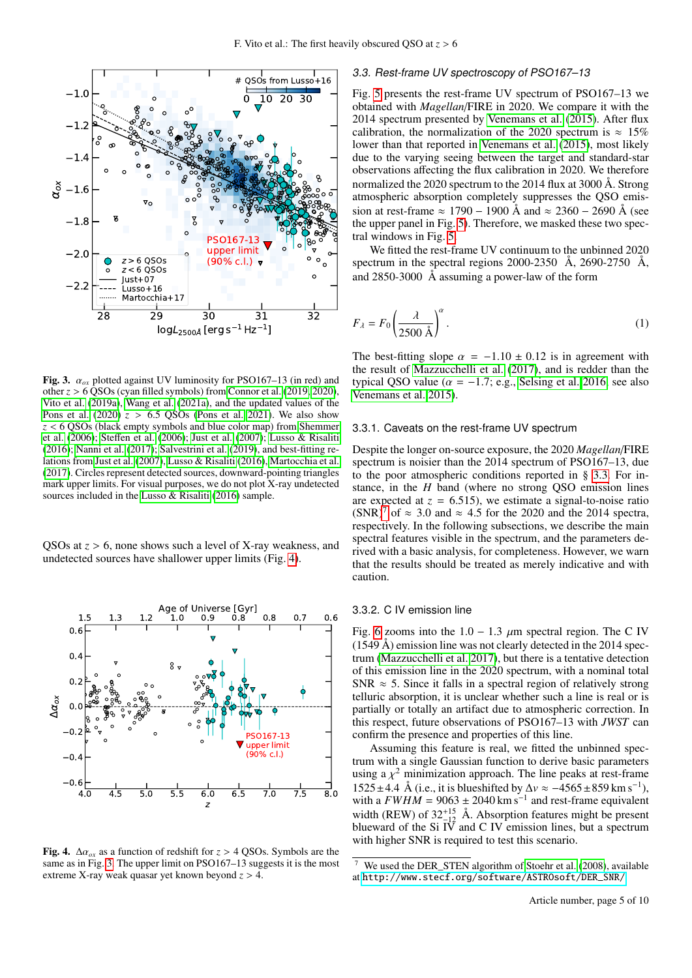

<span id="page-4-1"></span>Fig. 3.  $\alpha_{ox}$  plotted against UV luminosity for PSO167–13 (in red) and other *<sup>z</sup>* > 6 QSOs (cyan filled symbols) from [Connor et al.](#page-9-30) [\(2019,](#page-9-30) [2020\)](#page-9-31), [Vito et al.](#page-9-26) [\(2019a\)](#page-9-26), [Wang et al.](#page-9-21) [\(2021a\)](#page-9-21), and the updated values of the [Pons et al.](#page-9-57)  $(2020)$   $z > 6.5$  OSOs [\(Pons et al. 2021\)](#page-9-71). We also show *<sup>z</sup>* < 6 QSOs (black empty symbols and blue color map) from [Shemmer](#page-9-72) [et al.](#page-9-72) [\(2006\)](#page-9-72); Steff[en et al.](#page-9-73) [\(2006\)](#page-9-73); [Just et al.](#page-9-68) [\(2007\)](#page-9-68); [Lusso & Risaliti](#page-9-69) [\(2016\)](#page-9-69); [Nanni et al.](#page-9-25) [\(2017\)](#page-9-25); [Salvestrini et al.](#page-9-60) [\(2019\)](#page-9-60), and best-fitting relations from [Just et al.](#page-9-68) [\(2007\)](#page-9-68), [Lusso & Risaliti](#page-9-69) [\(2016\)](#page-9-69), [Martocchia et al.](#page-9-59) [\(2017\)](#page-9-59). Circles represent detected sources, downward-pointing triangles mark upper limits. For visual purposes, we do not plot X-ray undetected sources included in the [Lusso & Risaliti](#page-9-69) [\(2016\)](#page-9-69) sample.

QSOs at *<sup>z</sup>* > 6, none shows such a level of X-ray weakness, and undetected sources have shallower upper limits (Fig. [4\)](#page-4-2).



<span id="page-4-2"></span>Fig. 4.  $\Delta \alpha_{ox}$  as a function of redshift for *z* > 4 QSOs. Symbols are the same as in Fig. [3.](#page-4-1) The upper limit on PSO167–13 suggests it is the most extreme X-ray weak quasar yet known beyond *<sup>z</sup>* > 4.

# <span id="page-4-0"></span>3.3. Rest-frame UV spectroscopy of PSO167–13

Fig. [5](#page-5-0) presents the rest-frame UV spectrum of PSO167–13 we obtained with *Magellan*/FIRE in 2020. We compare it with the 2014 spectrum presented by [Venemans et al.](#page-9-36) [\(2015\)](#page-9-36). After flux calibration, the normalization of the 2020 spectrum is  $\approx 15\%$ lower than that reported in [Venemans et al.](#page-9-36) [\(2015\)](#page-9-36), most likely due to the varying seeing between the target and standard-star observations affecting the flux calibration in 2020. We therefore normalized the 2020 spectrum to the 2014 flux at 3000 Å. Strong atmospheric absorption completely suppresses the QSO emission at rest-frame  $\approx 1790 - 1900 \text{ Å}$  and  $\approx 2360 - 2690 \text{ Å}$  (see the upper panel in Fig. [5\)](#page-5-0). Therefore, we masked these two spectral windows in Fig. [5.](#page-5-0)

We fitted the rest-frame UV continuum to the unbinned 2020 spectrum in the spectral regions 2000-2350 Å, 2690-2750 Å, and 2850-3000 Å assuming a power-law of the form

<span id="page-4-4"></span>
$$
F_{\lambda} = F_0 \left(\frac{\lambda}{2500 \text{ \AA}}\right)^{\alpha}.
$$
 (1)

The best-fitting slope  $\alpha = -1.10 \pm 0.12$  is in agreement with the result of [Mazzucchelli et al.](#page-9-24) [\(2017\)](#page-9-24), and is redder than the typical QSO value ( $\alpha$  = -1.7; e.g., [Selsing et al. 2016,](#page-9-74) see also [Venemans et al. 2015\)](#page-9-36).

#### 3.3.1. Caveats on the rest-frame UV spectrum

Despite the longer on-source exposure, the 2020 *Magellan*/FIRE spectrum is noisier than the 2014 spectrum of PSO167–13, due to the poor atmospheric conditions reported in § [3.3.](#page-4-0) For instance, in the *H* band (where no strong QSO emission lines are expected at  $z = 6.515$ , we estimate a signal-to-noise ratio (SNR)<sup>[7](#page-4-3)</sup> of  $\approx$  3.0 and  $\approx$  4.5 for the 2020 and the 2014 spectra, respectively. In the following subsections, we describe the main spectral features visible in the spectrum, and the parameters derived with a basic analysis, for completeness. However, we warn that the results should be treated as merely indicative and with caution.

# 3.3.2. C IV emission line

Fig. [6](#page-6-0) zooms into the  $1.0 - 1.3 \mu m$  spectral region. The C IV (1549 Å) emission line was not clearly detected in the 2014 spectrum [\(Mazzucchelli et al. 2017\)](#page-9-24), but there is a tentative detection of this emission line in the 2020 spectrum, with a nominal total  $SNR \approx 5$ . Since it falls in a spectral region of relatively strong telluric absorption, it is unclear whether such a line is real or is partially or totally an artifact due to atmospheric correction. In this respect, future observations of PSO167–13 with *JWST* can confirm the presence and properties of this line.

Assuming this feature is real, we fitted the unbinned spectrum with a single Gaussian function to derive basic parameters using a  $\chi^2$  minimization approach. The line peaks at rest-frame<br>1525 + 4.4 Å (i.e., it is blueshifted by  $\Delta y \approx -4565 + 859 \text{ km s}^{-1}$ )  $1525 \pm 4.4$  Å (i.e., it is blueshifted by  $\Delta v \approx -4565 \pm 859$  km s<sup>-1</sup>),<br>with a  $FWHM = 9063 + 2040$  km s<sup>-1</sup> and rest-frame equivalent with a  $FWHM = 9063 \pm 2040$  km s<sup>-1</sup> and rest-frame equivalent width (REW) of  $32^{+15}_{-12}$  Å. Absorption features might be present blueward of the Si  $\overline{IV}$  and C IV emission lines, but a spectrum with higher SNR is required to test this scenario.

<span id="page-4-3"></span>We used the DER\_STEN algorithm of [Stoehr et al.](#page-9-75) [\(2008\)](#page-9-75), available at [http://www.stecf.org/software/ASTROsoft/DER\\_SNR/](http://www.stecf.org/software/ASTROsoft/DER_SNR/)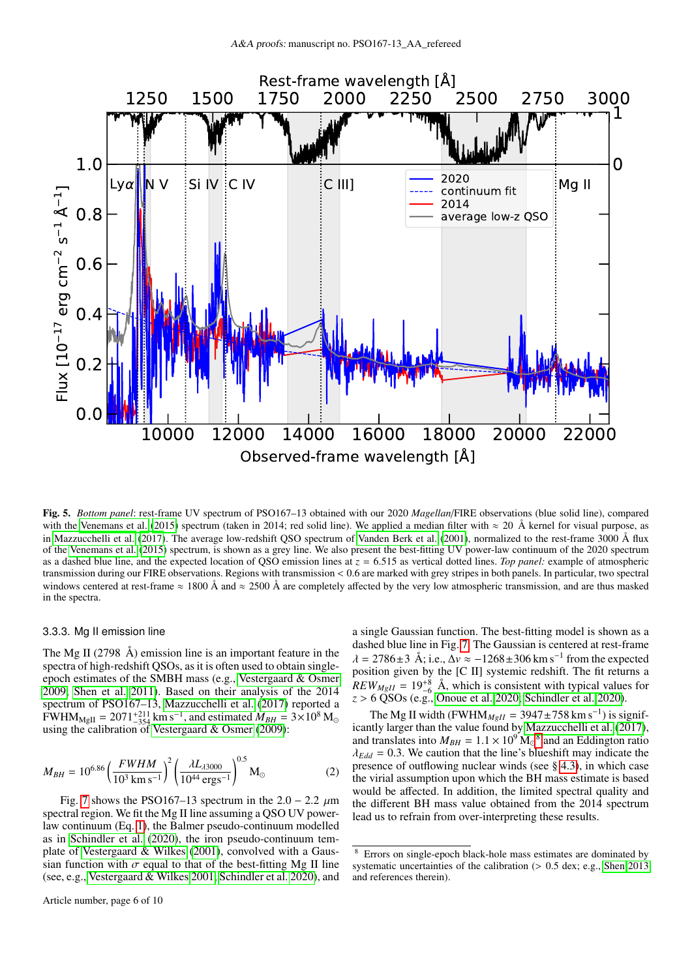

<span id="page-5-0"></span>Fig. 5. *Bottom panel*: rest-frame UV spectrum of PSO167–13 obtained with our 2020 *Magellan*/FIRE observations (blue solid line), compared with the [Venemans et al.](#page-9-36) [\(2015\)](#page-9-36) spectrum (taken in 2014; red solid line). We applied a median filter with  $\approx 20$  Å kernel for visual purpose, as in [Mazzucchelli et al.](#page-9-24) [\(2017\)](#page-9-24). The average low-redshift QSO spectrum of [Vanden Berk et al.](#page-9-76) [\(2001\)](#page-9-76), normalized to the rest-frame 3000 Å flux of the [Venemans et al.](#page-9-36) [\(2015\)](#page-9-36) spectrum, is shown as a grey line. We also present the best-fitting UV power-law continuum of the 2020 spectrum as a dashed blue line, and the expected location of QSO emission lines at *<sup>z</sup>* <sup>=</sup> <sup>6</sup>.515 as vertical dotted lines. *Top panel:* example of atmospheric transmission during our FIRE observations. Regions with transmission < <sup>0</sup>.6 are marked with grey stripes in both panels. In particular, two spectral windows centered at rest-frame  $\approx 1800 \text{ Å}$  and  $\approx 2500 \text{ Å}$  are completely affected by the very low atmospheric transmission, and are thus masked in the spectra.

# 3.3.3. Mg II emission line

The Mg II (2798 Å) emission line is an important feature in the spectra of high-redshift QSOs, as it is often used to obtain singleepoch estimates of the SMBH mass (e.g., [Vestergaard & Osmer](#page-9-77) [2009;](#page-9-77) [Shen et al. 2011\)](#page-9-78). Based on their analysis of the 2014 spectrum of PSO167–13, [Mazzucchelli et al.](#page-9-24) [\(2017\)](#page-9-24) reported a  $FWHM_{MgII} = 2071^{+211}_{-354}$  km s<sup>-1</sup>, and estimated  $M_{BH} = 3 \times 10^8$  M<sub>o</sub> using the calibration of [Vestergaard & Osmer](#page-9-77) [\(2009\)](#page-9-77):

$$
M_{BH} = 10^{6.86} \left(\frac{FWHM}{10^3 \text{ km s}^{-1}}\right)^2 \left(\frac{\lambda L_{\lambda 3000}}{10^{44} \text{ erg s}^{-1}}\right)^{0.5} \text{M}_\odot \tag{2}
$$

Fig. [7](#page-6-1) shows the PSO167–13 spectrum in the  $2.0 - 2.2 \mu m$ spectral region. We fit the Mg II line assuming a QSO UV powerlaw continuum (Eq. [1\)](#page-4-4), the Balmer pseudo-continuum modelled as in [Schindler et al.](#page-9-20) [\(2020\)](#page-9-20), the iron pseudo-continuum template of [Vestergaard & Wilkes](#page-9-79) [\(2001\)](#page-9-79), convolved with a Gaussian function with  $\sigma$  equal to that of the best-fitting Mg II line (see, e.g., [Vestergaard & Wilkes 2001,](#page-9-79) [Schindler et al. 2020\)](#page-9-20), and

dashed blue line in Fig. [7.](#page-6-1) The Gaussian is centered at rest-frame  $\lambda = 2786 \pm 3$  Å; i.e.,  $\Delta v \approx -1268 \pm 306$  km s<sup>-1</sup> from the expected position given by the IC III systemic redshift. The fit returns a position given by the [C II] systemic redshift. The fit returns a  $REW_{MgII} = 19^{+8}_{-6}$  Å, which is consistent with typical values for *<sup>z</sup>* > 6 QSOs (e.g., [Onoue et al. 2020;](#page-9-80) [Schindler et al. 2020\)](#page-9-20). The Mg II width (FWHM<sub>MgII</sub> = 3947±758 km s<sup>-1</sup>) is signif-

icantly larger than the value found by [Mazzucchelli et al.](#page-9-24) [\(2017\)](#page-9-24), and translates into  $M_{BH} = 1.1 \times 10^9$  M<sub>o</sub><sup>[8](#page-5-1)</sup> and an Eddington ratio  $\lambda_{Edd} = 0.3$  We caution that the line's blueshift may indicate the  $\lambda_{Edd}$  = 0.3. We caution that the line's blueshift may indicate the presence of outflowing nuclear winds (see § [4.3\)](#page-8-0), in which case the virial assumption upon which the BH mass estimate is based would be affected. In addition, the limited spectral quality and the different BH mass value obtained from the 2014 spectrum lead us to refrain from over-interpreting these results.

a single Gaussian function. The best-fitting model is shown as a

<span id="page-5-1"></span>Errors on single-epoch black-hole mass estimates are dominated by systematic uncertainties of the calibration (> 0.5 dex; e.g., [Shen 2013](#page-9-81) and references therein).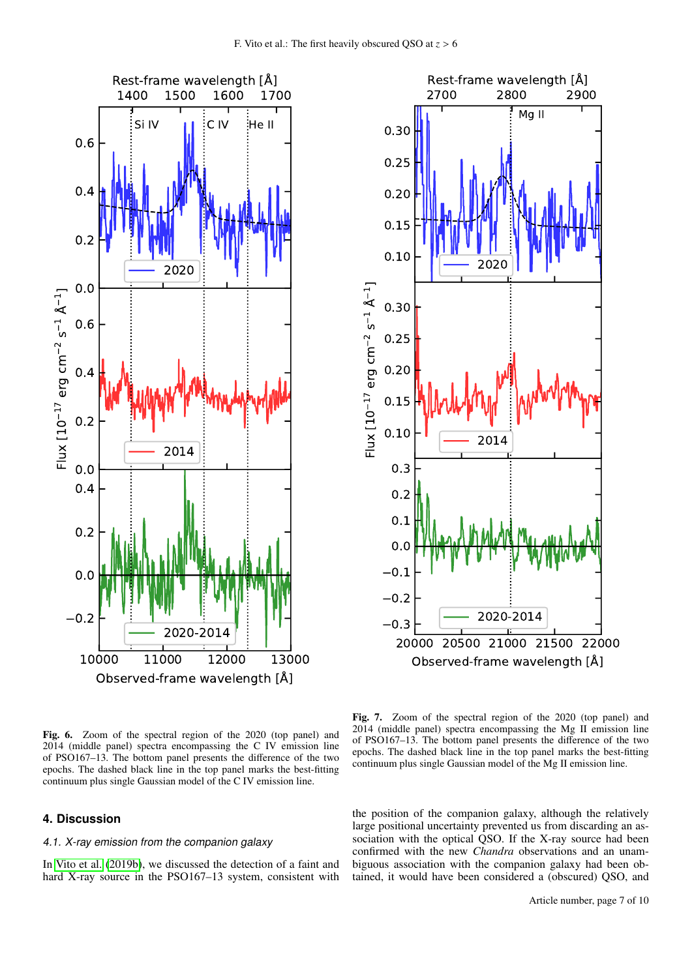



<span id="page-6-0"></span>Fig. 6. Zoom of the spectral region of the 2020 (top panel) and 2014 (middle panel) spectra encompassing the C IV emission line of PSO167–13. The bottom panel presents the difference of the two epochs. The dashed black line in the top panel marks the best-fitting continuum plus single Gaussian model of the C IV emission line.

# **4. Discussion**

# 4.1. X-ray emission from the companion galaxy

In [Vito et al.](#page-9-35) [\(2019b\)](#page-9-35), we discussed the detection of a faint and hard X-ray source in the PSO167–13 system, consistent with

<span id="page-6-1"></span>Fig. 7. Zoom of the spectral region of the 2020 (top panel) and 2014 (middle panel) spectra encompassing the Mg II emission line of PSO167–13. The bottom panel presents the difference of the two epochs. The dashed black line in the top panel marks the best-fitting continuum plus single Gaussian model of the Mg II emission line.

the position of the companion galaxy, although the relatively large positional uncertainty prevented us from discarding an association with the optical QSO. If the X-ray source had been confirmed with the new *Chandra* observations and an unambiguous association with the companion galaxy had been obtained, it would have been considered a (obscured) QSO, and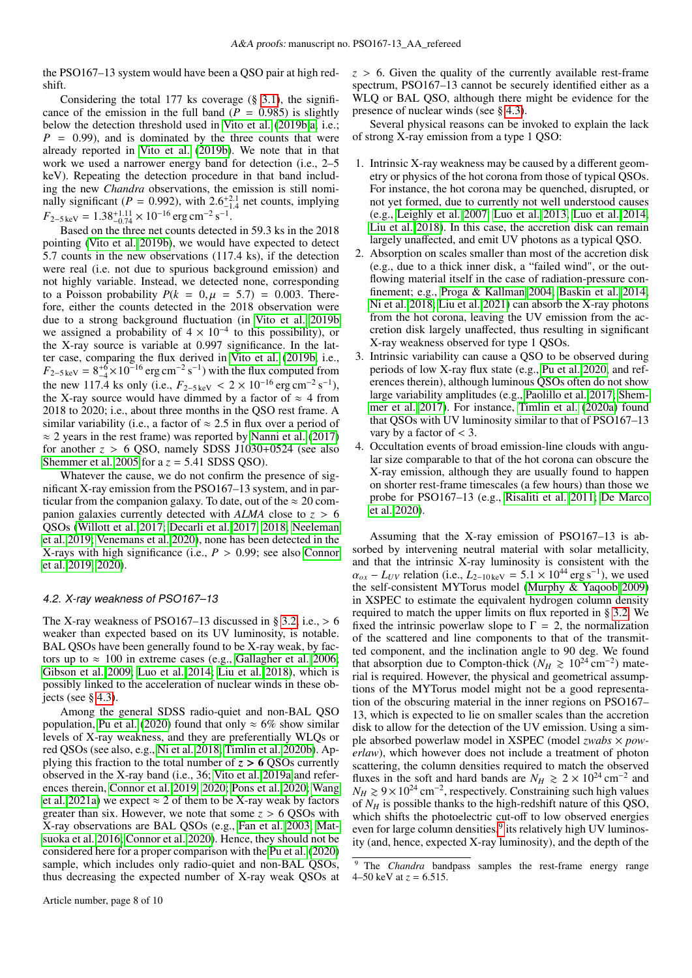the PSO167–13 system would have been a QSO pair at high redshift.

Considering the total 177 ks coverage  $(\S 3.1)$  $(\S 3.1)$ , the significance of the emission in the full band  $(P = 0.985)$  is slightly below the detection threshold used in [Vito et al.](#page-9-35) [\(2019b](#page-9-35)[,a,](#page-9-26) i.e.;  $P = 0.99$ , and is dominated by the three counts that were already reported in [Vito et al.](#page-9-35) [\(2019b\)](#page-9-35). We note that in that work we used a narrower energy band for detection (i.e., 2–5 keV). Repeating the detection procedure in that band including the new *Chandra* observations, the emission is still nominally significant (*P* = 0.992), with 2.6<sup>+2.1</sup> net counts, implying<br> $F_2$ ,  $g = 1.38^{+1.11} \times 10^{-16}$  arg cm<sup>-2</sup> s<sup>-1</sup>  $F_{2-5\,\text{keV}} = 1.38_{-0.74}^{+1.11} \times 10^{-16} \,\text{erg\,cm}^{-2} \,\text{s}^{-1}.$ <br>Based on the three net counts detecte

Based on the three net counts detected in 59.3 ks in the 2018 pointing [\(Vito et al. 2019b\)](#page-9-35), we would have expected to detect <sup>5</sup>.7 counts in the new observations (117.4 ks), if the detection were real (i.e. not due to spurious background emission) and not highly variable. Instead, we detected none, corresponding to a Poisson probability  $P(k = 0, \mu = 5.7) = 0.003$ . Therefore, either the counts detected in the 2018 observation were due to a strong background fluctuation (in [Vito et al. 2019b](#page-9-35) we assigned a probability of  $4 \times 10^{-4}$  to this possibility), or the X-ray source is variable at 0.997 significance. In the latter case, comparing the flux derived in [Vito et al.](#page-9-35) [\(2019b,](#page-9-35) i.e.,  $F_{2-5\,\text{keV}} = 8^{+6}_{-4} \times 10^{-16} \text{ erg cm}^{-2} \text{ s}^{-1}$ ) with the flux computed from the new 117.4 ks only (i.e.,  $F_{2-5\,\text{keV}} < 2 \times 10^{-16} \text{ erg cm}^{-2} \text{ s}^{-1}$ ),<br>the X-ray source would have dimmed by a factor of  $\approx 4$  from the X-ray source would have dimmed by a factor of  $\approx$  4 from 2018 to 2020; i.e., about three months in the QSO rest frame. A similar variability (i.e., a factor of  $\approx 2.5$  in flux over a period of  $\approx$  2 years in the rest frame) was reported by [Nanni et al.](#page-9-25) [\(2017\)](#page-9-25) for another  $z > 6$  QSO, namely SDSS J1030+0524 (see also [Shemmer et al. 2005](#page-9-82) for a  $z = 5.41$  SDSS QSO).

Whatever the cause, we do not confirm the presence of significant X-ray emission from the PSO167–13 system, and in particular from the companion galaxy. To date, out of the  $\approx 20$  companion galaxies currently detected with *ALMA* close to *<sup>z</sup>* > <sup>6</sup> QSOs [\(Willott et al. 2017;](#page-9-40) [Decarli et al. 2017,](#page-9-83) [2018;](#page-9-13) [Neeleman](#page-9-17) [et al. 2019;](#page-9-17) [Venemans et al. 2020\)](#page-9-37), none has been detected in the X-rays with high significance (i.e.,  $P > 0.99$ ; see also [Connor](#page-9-30) [et al. 2019,](#page-9-30) [2020\)](#page-9-31).

#### 4.2. X-ray weakness of PSO167–13

The X-ray weakness of PSO167–13 discussed in § [3.2,](#page-3-3) i.e.,  $> 6$ weaker than expected based on its UV luminosity, is notable. BAL QSOs have been generally found to be X-ray weak, by factors up to  $\approx 100$  in extreme cases (e.g., [Gallagher et al. 2006;](#page-9-84) [Gibson et al. 2009;](#page-9-85) [Luo et al. 2014;](#page-9-42) [Liu et al. 2018\)](#page-9-86), which is possibly linked to the acceleration of nuclear winds in these objects (see  $\S$  [4.3\)](#page-8-0).

Among the general SDSS radio-quiet and non-BAL QSO population, [Pu et al.](#page-9-46) [\(2020\)](#page-9-46) found that only  $\approx 6\%$  show similar levels of X-ray weakness, and they are preferentially WLQs or red QSOs (see also, e.g., [Ni et al. 2018;](#page-9-45) [Timlin et al. 2020b\)](#page-9-87). Applying this fraction to the total number of  $z > 6$  OSOs currently observed in the X-ray band (i.e., 36; [Vito et al. 2019a](#page-9-26) and references therein, [Connor et al. 2019,](#page-9-30) [2020;](#page-9-31) [Pons et al. 2020;](#page-9-57) [Wang](#page-9-21) [et al. 2021a\)](#page-9-21) we expect  $\approx$  2 of them to be X-ray weak by factors greater than six. However, we note that some  $z > 6$  QSOs with X-ray observations are BAL QSOs (e.g., [Fan et al. 2003;](#page-9-88) [Mat](#page-9-89)[suoka et al. 2016;](#page-9-89) [Connor et al. 2020\)](#page-9-31). Hence, they should not be considered here for a proper comparison with the [Pu et al.](#page-9-46) [\(2020\)](#page-9-46) sample, which includes only radio-quiet and non-BAL QSOs, thus decreasing the expected number of X-ray weak QSOs at  $z > 6$ . Given the quality of the currently available rest-frame spectrum, PSO167–13 cannot be securely identified either as a WLO or BAL OSO, although there might be evidence for the presence of nuclear winds (see § [4.3\)](#page-8-0).

Several physical reasons can be invoked to explain the lack of strong X-ray emission from a type 1 QSO:

- 1. Intrinsic X-ray weakness may be caused by a different geometry or physics of the hot corona from those of typical QSOs. For instance, the hot corona may be quenched, disrupted, or not yet formed, due to currently not well understood causes (e.g., [Leighly et al. 2007,](#page-9-90) [Luo et al. 2013,](#page-9-91) [Luo et al. 2014,](#page-9-42) [Liu et al. 2018\)](#page-9-86). In this case, the accretion disk can remain largely unaffected, and emit UV photons as a typical QSO.
- 2. Absorption on scales smaller than most of the accretion disk (e.g., due to a thick inner disk, a "failed wind", or the outflowing material itself in the case of radiation-pressure confinement; e.g., [Proga & Kallman 2004;](#page-9-92) [Baskin et al. 2014;](#page-9-93) [Ni et al. 2018;](#page-9-45) [Liu et al. 2021\)](#page-9-94) can absorb the X-ray photons from the hot corona, leaving the UV emission from the accretion disk largely unaffected, thus resulting in significant X-ray weakness observed for type 1 QSOs.
- 3. Intrinsic variability can cause a QSO to be observed during periods of low X-ray flux state (e.g., [Pu et al. 2020,](#page-9-46) and references therein), although luminous QSOs often do not show large variability amplitudes (e.g., [Paolillo et al. 2017;](#page-9-95) [Shem](#page-9-96)[mer et al. 2017\)](#page-9-96). For instance, [Timlin et al.](#page-9-97) [\(2020a\)](#page-9-97) found that QSOs with UV luminosity similar to that of PSO167–13 vary by a factor of  $<$  3.
- 4. Occultation events of broad emission-line clouds with angular size comparable to that of the hot corona can obscure the X-ray emission, although they are usually found to happen on shorter rest-frame timescales (a few hours) than those we probe for PSO167–13 (e.g., [Risaliti et al. 2011;](#page-9-98) [De Marco](#page-9-99) [et al. 2020\)](#page-9-99).

Assuming that the X-ray emission of PSO167–13 is absorbed by intervening neutral material with solar metallicity, and that the intrinsic X-ray luminosity is consistent with the  $\alpha_{ox} - L_{UV}$  relation (i.e.,  $L_{2-10 \text{ keV}} = 5.1 \times 10^{44} \text{ erg s}^{-1}$ ), we used the self-consistent MYTorus model (Murphy & Yagoob 2009) the self-consistent MYTorus model [\(Murphy & Yaqoob 2009\)](#page-9-100) in XSPEC to estimate the equivalent hydrogen column density required to match the upper limits on flux reported in § [3.2.](#page-3-3) We fixed the intrinsic powerlaw slope to  $\Gamma = 2$ , the normalization of the scattered and line components to that of the transmitted component, and the inclination angle to 90 deg. We found that absorption due to Compton-thick ( $N_H \ge 10^{24}$  cm<sup>-2</sup>) material is required. However, the physical and geometrical assumptions of the MYTorus model might not be a good representation of the obscuring material in the inner regions on PSO167– 13, which is expected to lie on smaller scales than the accretion disk to allow for the detection of the UV emission. Using a simple absorbed powerlaw model in XSPEC (model *zwabs* × *powerlaw*), which however does not include a treatment of photon scattering, the column densities required to match the observed fluxes in the soft and hard bands are  $N_H \ge 2 \times 10^{24}$  cm<sup>-2</sup> and  $N_H$  ≥ 9 × 10<sup>24</sup> cm<sup>-2</sup>, respectively. Constraining such high values of *N<sup>H</sup>* is possible thanks to the high-redshift nature of this QSO, which shifts the photoelectric cut-off to low observed energies even for large column densities,<sup>[9](#page-7-0)</sup> its relatively high UV luminosity (and, hence, expected X-ray luminosity), and the depth of the

<span id="page-7-0"></span><sup>&</sup>lt;sup>9</sup> The *Chandra* bandpass samples the rest-frame energy range 4–50 keV at  $z = 6.515$ .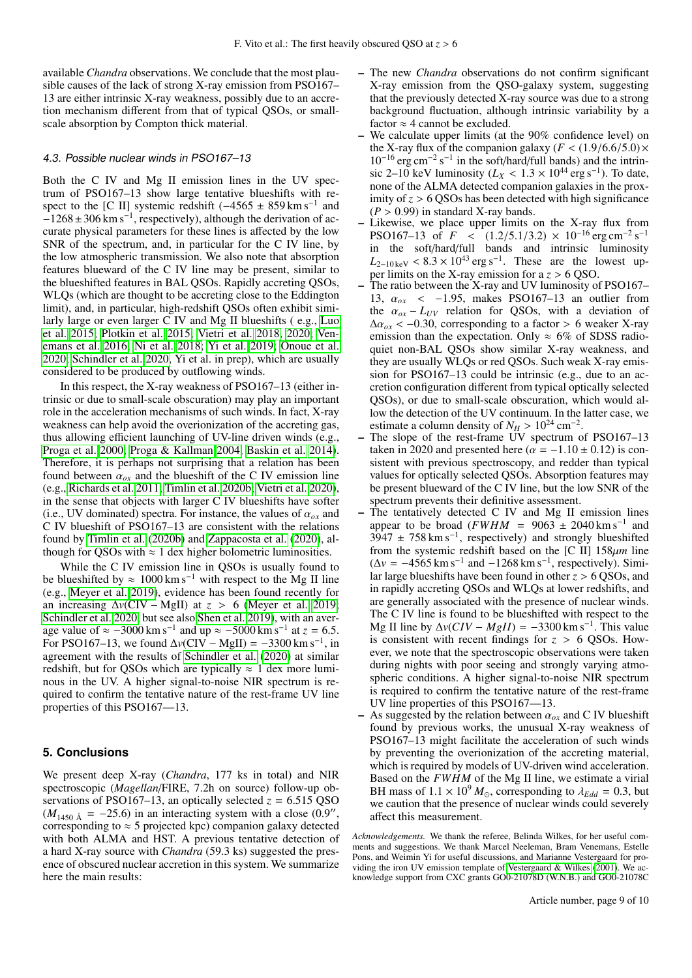available *Chandra* observations. We conclude that the most plausible causes of the lack of strong X-ray emission from PSO167– 13 are either intrinsic X-ray weakness, possibly due to an accretion mechanism different from that of typical QSOs, or smallscale absorption by Compton thick material.

# <span id="page-8-0"></span>4.3. Possible nuclear winds in PSO167–13

Both the C IV and Mg II emission lines in the UV spectrum of PSO167–13 show large tentative blueshifts with respect to the [C II] systemic redshift  $(-4565 \pm 859 \text{ km s}^{-1})$  and  $-1268 \pm 306$  km s<sup>-1</sup>, respectively), although the derivation of accurate physical parameters for these lines is affected by the low SNR of the spectrum, and, in particular for the C IV line, by the low atmospheric transmission. We also note that absorption features blueward of the C IV line may be present, similar to the blueshifted features in BAL QSOs. Rapidly accreting QSOs, WLQs (which are thought to be accreting close to the Eddington limit), and, in particular, high-redshift QSOs often exhibit similarly large or even larger C IV and Mg II blueshifts ( e.g., [Luo](#page-9-44) [et al. 2015;](#page-9-44) [Plotkin et al. 2015;](#page-9-101) [Vietri et al. 2018,](#page-9-102) [2020;](#page-9-103) [Ven](#page-9-70)[emans et al. 2016;](#page-9-70) [Ni et al. 2018;](#page-9-45) [Yi et al. 2019;](#page-9-104) [Onoue et al.](#page-9-80) [2020;](#page-9-80) [Schindler et al. 2020,](#page-9-20) Yi et al. in prep), which are usually considered to be produced by outflowing winds.

In this respect, the X-ray weakness of PSO167–13 (either intrinsic or due to small-scale obscuration) may play an important role in the acceleration mechanisms of such winds. In fact, X-ray weakness can help avoid the overionization of the accreting gas, thus allowing efficient launching of UV-line driven winds (e.g., [Proga et al. 2000;](#page-9-105) [Proga & Kallman 2004;](#page-9-92) [Baskin et al. 2014\)](#page-9-93). Therefore, it is perhaps not surprising that a relation has been found between  $\alpha_{ox}$  and the blueshift of the C IV emission line (e.g., [Richards et al. 2011;](#page-9-106) [Timlin et al. 2020b;](#page-9-87) [Vietri et al. 2020\)](#page-9-103), in the sense that objects with larger C IV blueshifts have softer (i.e., UV dominated) spectra. For instance, the values of  $\alpha_{ox}$  and C IV blueshift of PSO167–13 are consistent with the relations found by [Timlin et al.](#page-9-87) [\(2020b\)](#page-9-87) and [Zappacosta et al.](#page-9-107) [\(2020\)](#page-9-107), although for QSOs with  $\approx 1$  dex higher bolometric luminosities.

While the C IV emission line in OSOs is usually found to be blueshifted by  $\approx 1000 \text{ km s}^{-1}$  with respect to the Mg II line (e.g., [Meyer et al. 2019\)](#page-9-28), evidence has been found recently for an increasing  $\Delta v$ (CIV – MgII) at  $z > 6$  [\(Meyer et al. 2019;](#page-9-28) [Schindler et al. 2020,](#page-9-20) but see also [Shen et al. 2019\)](#page-9-27), with an average value of  $\approx -3000 \text{ km s}^{-1}$  and up  $\approx -5000 \text{ km s}^{-1}$ age value of  $\approx -3000 \text{ km s}^{-1}$  and up  $\approx -5000 \text{ km s}^{-1}$  at  $z = 6.5$ .<br>For PSO167–13, we found  $\Delta v(CIV - MgII) = -3300 \text{ km s}^{-1}$ , in agreement with the results of [Schindler et al.](#page-9-20) [\(2020\)](#page-9-20) at similar redshift, but for QSOs which are typically  $\approx 1$  dex more luminous in the UV. A higher signal-to-noise NIR spectrum is required to confirm the tentative nature of the rest-frame UV line properties of this PSO167—13.

# **5. Conclusions**

We present deep X-ray (*Chandra*, 177 ks in total) and NIR spectroscopic (*Magellan*/FIRE, 7.2h on source) follow-up observations of PSO167–13, an optically selected  $z = 6.515$  QSO  $(M_{1450 \text{ Å}} = -25.6)$  in an interacting system with a close  $(0.9)$ ,<br>corresponding to  $\approx$  5 projected kpc) companion galaxy detected corresponding to  $\approx$  5 projected kpc) companion galaxy detected with both ALMA and HST. A previous tentative detection of a hard X-ray source with *Chandra* (59.3 ks) suggested the presence of obscured nuclear accretion in this system. We summarize here the main results:

- The new *Chandra* observations do not confirm significant X-ray emission from the QSO-galaxy system, suggesting that the previously detected X-ray source was due to a strong background fluctuation, although intrinsic variability by a factor  $\approx$  4 cannot be excluded.
- We calculate upper limits (at the 90% confidence level) on the X-ray flux of the companion galaxy ( $F < (1.9/6.6/5.0) \times$ 10<sup>-16</sup> erg cm<sup>-2</sup> s<sup>-1</sup> in the soft/hard/full bands) and the intrinsic 2–10 keV luminosity ( $L_X < 1.3 \times 10^{44}$  erg s<sup>-1</sup>). To date, none of the ALMA detected companion galaxies in the proxnone of the ALMA detected companion galaxies in the proximity of  $z > 6$  QSOs has been detected with high significance  $(P > 0.99)$  in standard X-ray bands.
- $(P > 0.99)$  in standard X-ray bands.<br>- Likewise, we place upper limits on the X-ray flux from PSO167–13 of  $F < (1.2/5.1/3.2) \times 10^{-16}$  erg cm<sup>-2</sup> s<sup>-1</sup><br>in the soft/hard/full bands and intrinsic luminosity in the soft/hard/full bands and intrinsic luminosity  $L_{2-10 \text{ keV}} < 8.3 \times 10^{43} \text{ erg s}^{-1}$ . These are the lowest up-<br>per limits on the X-ray emission for a z > 6.080 per limits on the X-ray emission for a *<sup>z</sup>* > 6 QSO.
- The ratio between the X-ray and UV luminosity of PSO167– 13, <sup>α</sup>*ox* <sup>&</sup>lt; <sup>−</sup>1.95, makes PSO167–13 an outlier from the  $\alpha_{ox} - L_{UV}$  relation for QSOs, with a deviation of  $\Delta \alpha_{ox}$  < -0.30, corresponding to a factor > 6 weaker X-ray emission than the expectation. Only  $\approx$  6% of SDSS radioquiet non-BAL QSOs show similar X-ray weakness, and they are usually WLQs or red QSOs. Such weak X-ray emission for PSO167–13 could be intrinsic (e.g., due to an accretion configuration different from typical optically selected QSOs), or due to small-scale obscuration, which would allow the detection of the UV continuum. In the latter case, we estimate a column density of  $N_H > 10^{24}$  cm<sup>-2</sup>.<br>The slope of the rest-frame UV spectrum of
- The slope of the rest-frame UV spectrum of PSO167–13 taken in 2020 and presented here ( $\alpha = -1.10 \pm 0.12$ ) is consistent with previous spectroscopy, and redder than typical values for optically selected QSOs. Absorption features may be present blueward of the C IV line, but the low SNR of the spectrum prevents their definitive assessment.
- The tentatively detected  $C$  IV and  $Mg$  II emission lines appear to be broad ( $FWHM = 9063 \pm 2040$  km s<sup>-1</sup> and  $3947 \pm 758$  km s<sup>-1</sup>, respectively) and strongly blueshifted from the systemic redshift based on the [C II] 158µ*<sup>m</sup>* line  $(\Delta v = -4565 \text{ km s}^{-1} \text{ and } -1268 \text{ km s}^{-1}, \text{ respectively}).$  Similar large blueshifts have been found in other *<sup>z</sup>* > 6 QSOs, and in rapidly accreting QSOs and WLQs at lower redshifts, and are generally associated with the presence of nuclear winds. The C IV line is found to be blueshifted with respect to the Mg II line by  $\Delta v(CIV - MgII) = -3300 \text{ km s}^{-1}$ . This value is consistent with recent findings for  $z > 6$  QSOs. However, we note that the spectroscopic observations were taken during nights with poor seeing and strongly varying atmospheric conditions. A higher signal-to-noise NIR spectrum is required to confirm the tentative nature of the rest-frame UV line properties of this PSO167—13.
- As suggested by the relation between  $\alpha_{ox}$  and C IV blueshift found by previous works, the unusual X-ray weakness of PSO167–13 might facilitate the acceleration of such winds by preventing the overionization of the accreting material, which is required by models of UV-driven wind acceleration. Based on the *FWHM* of the Mg II line, we estimate a virial BH mass of  $1.1 \times 10^9 M_{\odot}$ , corresponding to  $\lambda_{Edd} = 0.3$ , but we caution that the presence of nuclear winds could severely affect this measurement.

*Acknowledgements.* We thank the referee, Belinda Wilkes, for her useful comments and suggestions. We thank Marcel Neeleman, Bram Venemans, Estelle Pons, and Weimin Yi for useful discussions, and Marianne Vestergaard for providing the iron UV emission template of [Vestergaard & Wilkes](#page-9-79) [\(2001\)](#page-9-79). We acknowledge support from CXC grants GO0-21078D (W.N.B.) and GO0-21078C